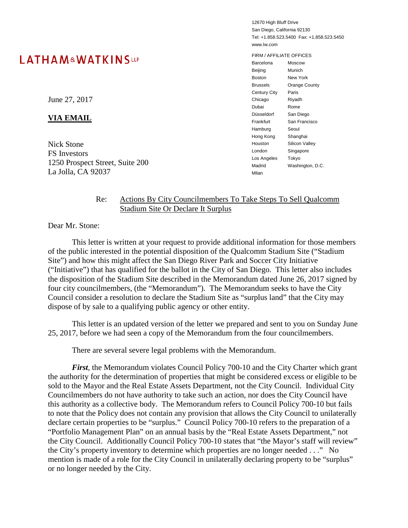# LATHAM&WATKINSLLP

12670 High Bluff Drive San Diego, California 92130 Tel: +1.858.523.5400 Fax: +1.858.523.5450 www.lw.com

FIRM / AFFILIATE OFFICES Barcelona Moscow Beijing Munich Boston New York Brussels Orange County Century City Paris Chicago Riyadh Dubai Rome Düsseldorf San Diego Frankfurt San Francisco Hamburg Seoul Hong Kong Shanghai Houston Silicon Valley London Singapore Los Angeles Tokyo Madrid Washington, D.C. Milan

#### Re: Actions By City Councilmembers To Take Steps To Sell Qualcomm Stadium Site Or Declare It Surplus

Dear Mr. Stone:

This letter is written at your request to provide additional information for those members of the public interested in the potential disposition of the Qualcomm Stadium Site ("Stadium Site") and how this might affect the San Diego River Park and Soccer City Initiative ("Initiative") that has qualified for the ballot in the City of San Diego. This letter also includes the disposition of the Stadium Site described in the Memorandum dated June 26, 2017 signed by four city councilmembers, (the "Memorandum"). The Memorandum seeks to have the City Council consider a resolution to declare the Stadium Site as "surplus land" that the City may dispose of by sale to a qualifying public agency or other entity.

This letter is an updated version of the letter we prepared and sent to you on Sunday June 25, 2017, before we had seen a copy of the Memorandum from the four councilmembers.

There are several severe legal problems with the Memorandum.

*First*, the Memorandum violates Council Policy 700-10 and the City Charter which grant the authority for the determination of properties that might be considered excess or eligible to be sold to the Mayor and the Real Estate Assets Department, not the City Council. Individual City Councilmembers do not have authority to take such an action, nor does the City Council have this authority as a collective body. The Memorandum refers to Council Policy 700-10 but fails to note that the Policy does not contain any provision that allows the City Council to unilaterally declare certain properties to be "surplus." Council Policy 700-10 refers to the preparation of a "Portfolio Management Plan" on an annual basis by the "Real Estate Assets Department," not the City Council. Additionally Council Policy 700-10 states that "the Mayor's staff will review" the City's property inventory to determine which properties are no longer needed . . ." No mention is made of a role for the City Council in unilaterally declaring property to be "surplus" or no longer needed by the City.

June 27, 2017

### **VIA EMAIL**

Nick Stone FS Investors 1250 Prospect Street, Suite 200 La Jolla, CA 92037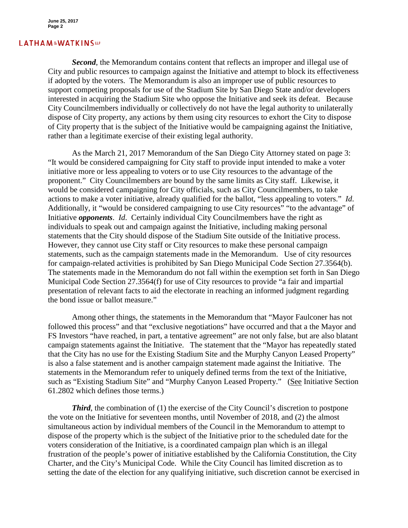**June 25, 2017 Page 2**

#### **LATHAM&WATKINSLP**

*Second*, the Memorandum contains content that reflects an improper and illegal use of City and public resources to campaign against the Initiative and attempt to block its effectiveness if adopted by the voters. The Memorandum is also an improper use of public resources to support competing proposals for use of the Stadium Site by San Diego State and/or developers interested in acquiring the Stadium Site who oppose the Initiative and seek its defeat. Because City Councilmembers individually or collectively do not have the legal authority to unilaterally dispose of City property, any actions by them using city resources to exhort the City to dispose of City property that is the subject of the Initiative would be campaigning against the Initiative, rather than a legitimate exercise of their existing legal authority.

As the March 21, 2017 Memorandum of the San Diego City Attorney stated on page 3: "It would be considered campaigning for City staff to provide input intended to make a voter initiative more or less appealing to voters or to use City resources to the advantage of the proponent." City Councilmembers are bound by the same limits as City staff. Likewise, it would be considered campaigning for City officials, such as City Councilmembers, to take actions to make a voter initiative, already qualified for the ballot, "less appealing to voters." *Id*. Additionally, it "would be considered campaigning to use City resources" "to the advantage" of Initiative *opponents*. *Id*. Certainly individual City Councilmembers have the right as individuals to speak out and campaign against the Initiative, including making personal statements that the City should dispose of the Stadium Site outside of the Initiative process. However, they cannot use City staff or City resources to make these personal campaign statements, such as the campaign statements made in the Memorandum. Use of city resources for campaign-related activities is prohibited by San Diego Municipal Code Section 27.3564(b). The statements made in the Memorandum do not fall within the exemption set forth in San Diego Municipal Code Section 27.3564(f) for use of City resources to provide "a fair and impartial presentation of relevant facts to aid the electorate in reaching an informed judgment regarding the bond issue or ballot measure."

Among other things, the statements in the Memorandum that "Mayor Faulconer has not followed this process" and that "exclusive negotiations" have occurred and that a the Mayor and FS Investors "have reached, in part, a tentative agreement" are not only false, but are also blatant campaign statements against the Initiative. The statement that the "Mayor has repeatedly stated that the City has no use for the Existing Stadium Site and the Murphy Canyon Leased Property" is also a false statement and is another campaign statement made against the Initiative. The statements in the Memorandum refer to uniquely defined terms from the text of the Initiative, such as "Existing Stadium Site" and "Murphy Canyon Leased Property." (See Initiative Section 61.2802 which defines those terms.)

*Third*, the combination of (1) the exercise of the City Council's discretion to postpone the vote on the Initiative for seventeen months, until November of 2018, and (2) the almost simultaneous action by individual members of the Council in the Memorandum to attempt to dispose of the property which is the subject of the Initiative prior to the scheduled date for the voters consideration of the Initiative, is a coordinated campaign plan which is an illegal frustration of the people's power of initiative established by the California Constitution, the City Charter, and the City's Municipal Code. While the City Council has limited discretion as to setting the date of the election for any qualifying initiative, such discretion cannot be exercised in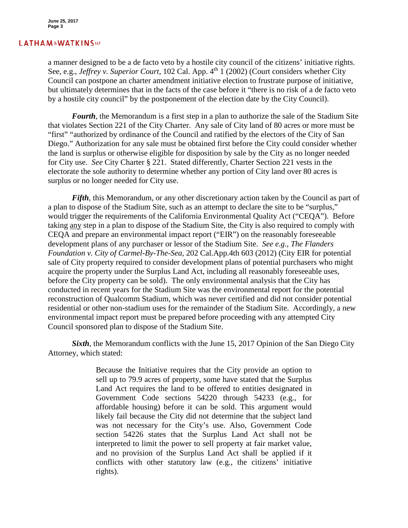## **LATHAM&WATKINSLP**

a manner designed to be a de facto veto by a hostile city council of the citizens' initiative rights. See, e.g., *Jeffrey v. Superior Court*, 102 Cal. App. 4<sup>th</sup> 1 (2002) (Court considers whether City Council can postpone an charter amendment initiative election to frustrate purpose of initiative, but ultimately determines that in the facts of the case before it "there is no risk of a de facto veto by a hostile city council" by the postponement of the election date by the City Council).

*Fourth*, the Memorandum is a first step in a plan to authorize the sale of the Stadium Site that violates Section 221 of the City Charter. Any sale of City land of 80 acres or more must be "first" "authorized by ordinance of the Council and ratified by the electors of the City of San Diego." Authorization for any sale must be obtained first before the City could consider whether the land is surplus or otherwise eligible for disposition by sale by the City as no longer needed for City use. *See* City Charter § 221. Stated differently, Charter Section 221 vests in the electorate the sole authority to determine whether any portion of City land over 80 acres is surplus or no longer needed for City use.

*Fifth*, this Memorandum, or any other discretionary action taken by the Council as part of a plan to dispose of the Stadium Site, such as an attempt to declare the site to be "surplus," would trigger the requirements of the California Environmental Quality Act ("CEQA"). Before taking any step in a plan to dispose of the Stadium Site, the City is also required to comply with CEQA and prepare an environmental impact report ("EIR") on the reasonably foreseeable development plans of any purchaser or lessor of the Stadium Site. *See e.g*., *The Flanders Foundation v. City of Carmel-By-The-Sea*, 202 Cal.App.4th 603 (2012) (City EIR for potential sale of City property required to consider development plans of potential purchasers who might acquire the property under the Surplus Land Act, including all reasonably foreseeable uses, before the City property can be sold). The only environmental analysis that the City has conducted in recent years for the Stadium Site was the environmental report for the potential reconstruction of Qualcomm Stadium, which was never certified and did not consider potential residential or other non-stadium uses for the remainder of the Stadium Site. Accordingly, a new environmental impact report must be prepared before proceeding with any attempted City Council sponsored plan to dispose of the Stadium Site.

*Sixth*, the Memorandum conflicts with the June 15, 2017 Opinion of the San Diego City Attorney, which stated:

> Because the Initiative requires that the City provide an option to sell up to 79.9 acres of property, some have stated that the Surplus Land Act requires the land to be offered to entities designated in Government Code sections 54220 through 54233 (e.g., for affordable housing) before it can be sold. This argument would likely fail because the City did not determine that the subject land was not necessary for the City's use. Also, Government Code section 54226 states that the Surplus Land Act shall not be interpreted to limit the power to sell property at fair market value, and no provision of the Surplus Land Act shall be applied if it conflicts with other statutory law (e.g., the citizens' initiative rights).